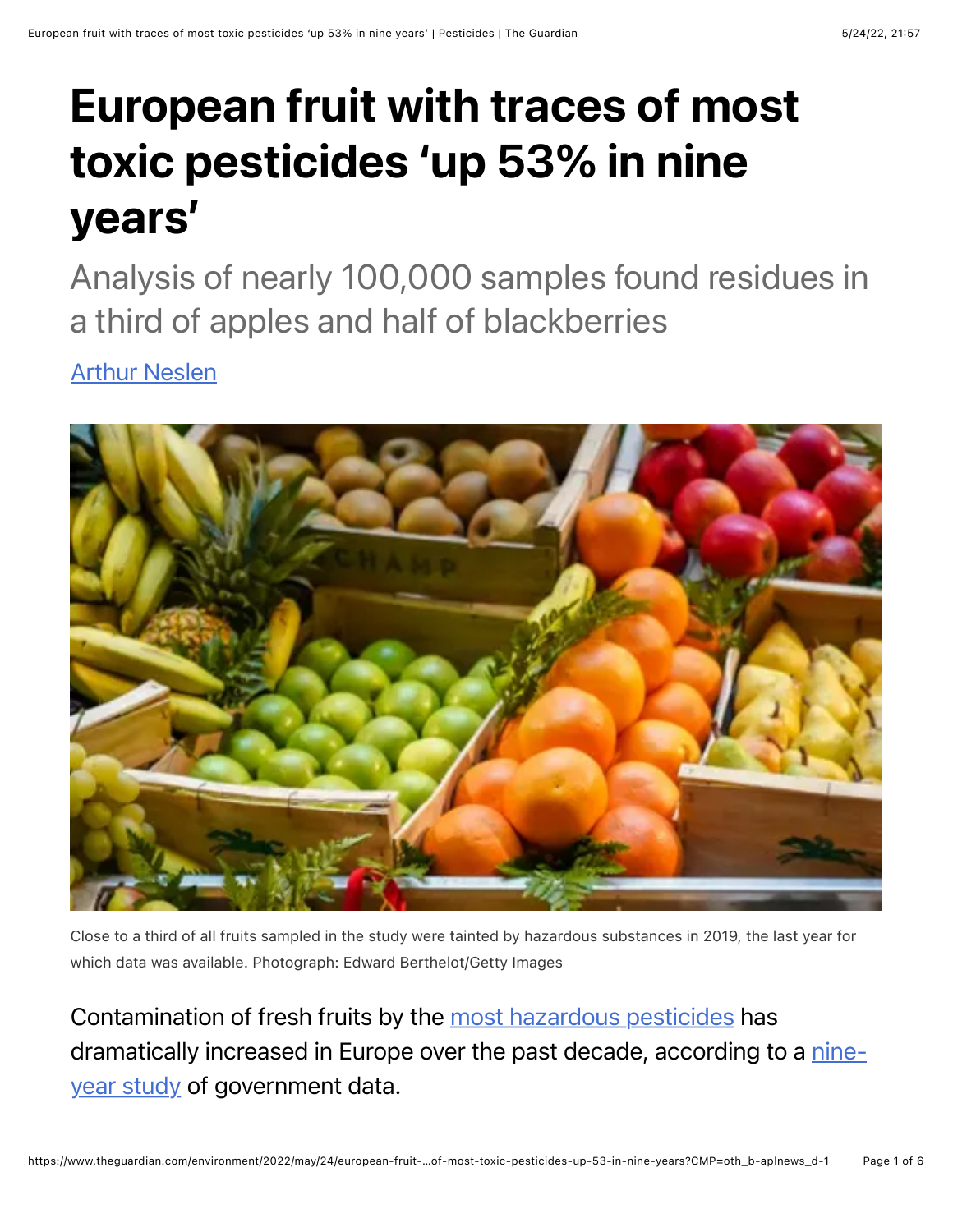## European fruit with traces of most toxic pesticides 'up 53% in nine years'

Analysis of nearly 100,000 samples found residues in a third of apples and half of blackberries

[Arthur Neslen](https://www.theguardian.com/profile/arthurneslen)



Close to a third of all fruits sampled in the study were tainted by hazardous substances in 2019, the last year for which data was available. Photograph: Edward Berthelot/Getty Images

Contamination of fresh fruits by the [most hazardous pesticides](https://ec.europa.eu/food/plant/pesticides/eu-pesticides-database/active-substances/index.cfm?event=search.as&t=3&s=3&s=1&a_from=&a_to=&e_from=&e_to=&additionalfilter__class_p1=&additionalfilter__class_p2=&string_tox_1=&string_tox_1=&string_tox_2=&string_tox_2=&string_tox_3=&string_tox_3=&string_tox_4=&string_tox_4=) has [dramatically increased in Europe over the past decade, according to a nine](https://www.pan-europe.info/resources/reports/2022/05/forbidden-fruit-dramatic-rise-dangerous-pesticides-found-fruits-and)year study of government data.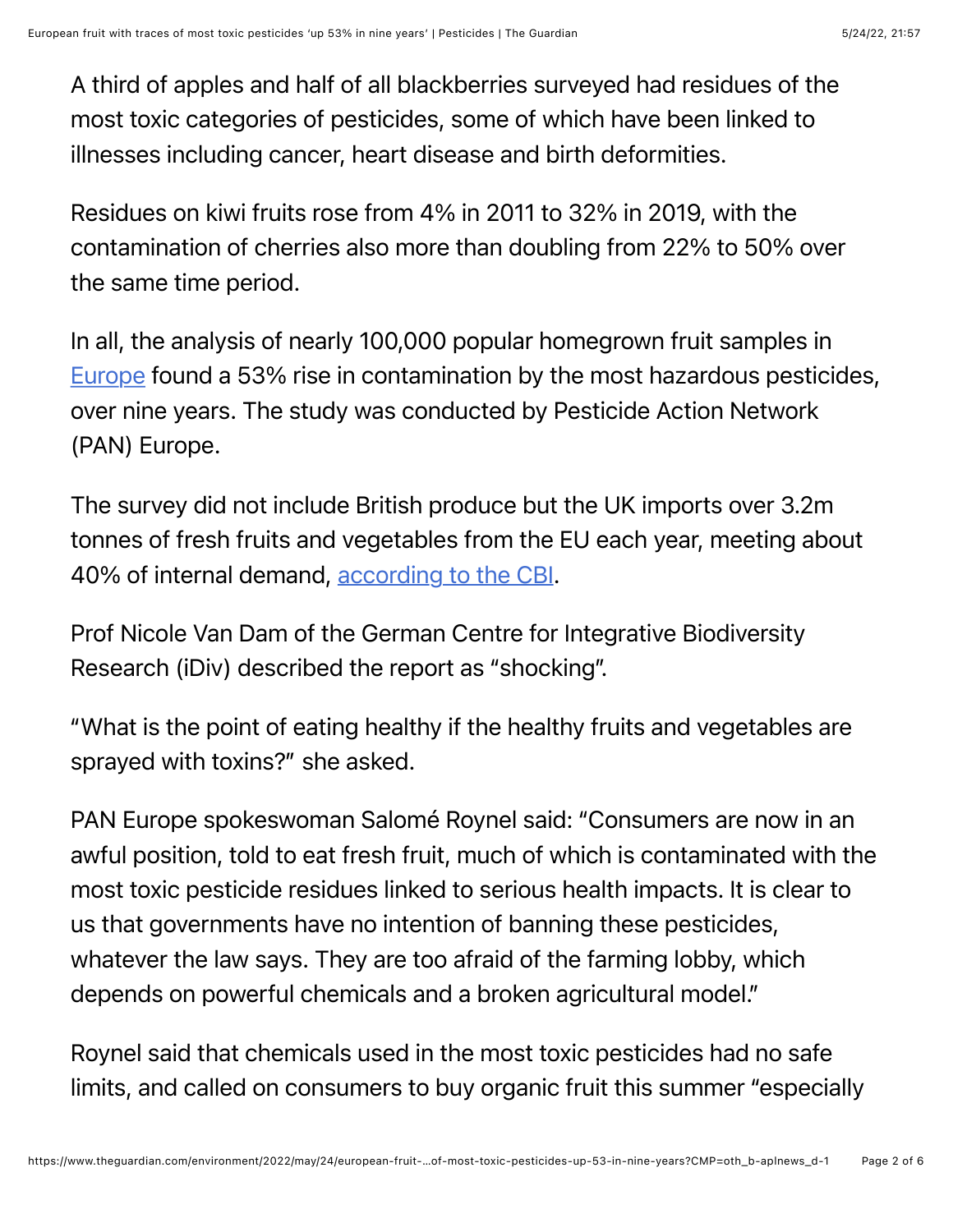A third of apples and half of all blackberries surveyed had residues of the most toxic categories of pesticides, some of which have been linked to illnesses including cancer, heart disease and birth deformities.

Residues on kiwi fruits rose from 4% in 2011 to 32% in 2019, with the contamination of cherries also more than doubling from 22% to 50% over the same time period.

In all, the analysis of nearly 100,000 popular homegrown fruit samples in [Europe](https://www.theguardian.com/world/europe-news) found a 53% rise in contamination by the most hazardous pesticides, over nine years. The study was conducted by Pesticide Action Network (PAN) Europe.

The survey did not include British produce but the UK imports over 3.2m tonnes of fresh fruits and vegetables from the EU each year, meeting about 40% of internal demand, [according to the CBI.](https://www.cbi.eu/news/brexit-effect-fresh-trade#:~:text=The%2027%20EU%20member%20states,of%20the%20UK)

Prof Nicole Van Dam of the German Centre for Integrative Biodiversity Research (iDiv) described the report as "shocking".

"What is the point of eating healthy if the healthy fruits and vegetables are sprayed with toxins?" she asked.

PAN Europe spokeswoman Salomé Roynel said: "Consumers are now in an awful position, told to eat fresh fruit, much of which is contaminated with the most toxic pesticide residues linked to serious health impacts. It is clear to us that governments have no intention of banning these pesticides, whatever the law says. They are too afraid of the farming lobby, which depends on powerful chemicals and a broken agricultural model."

Roynel said that chemicals used in the most toxic pesticides had no safe limits, and called on consumers to buy organic fruit this summer "especially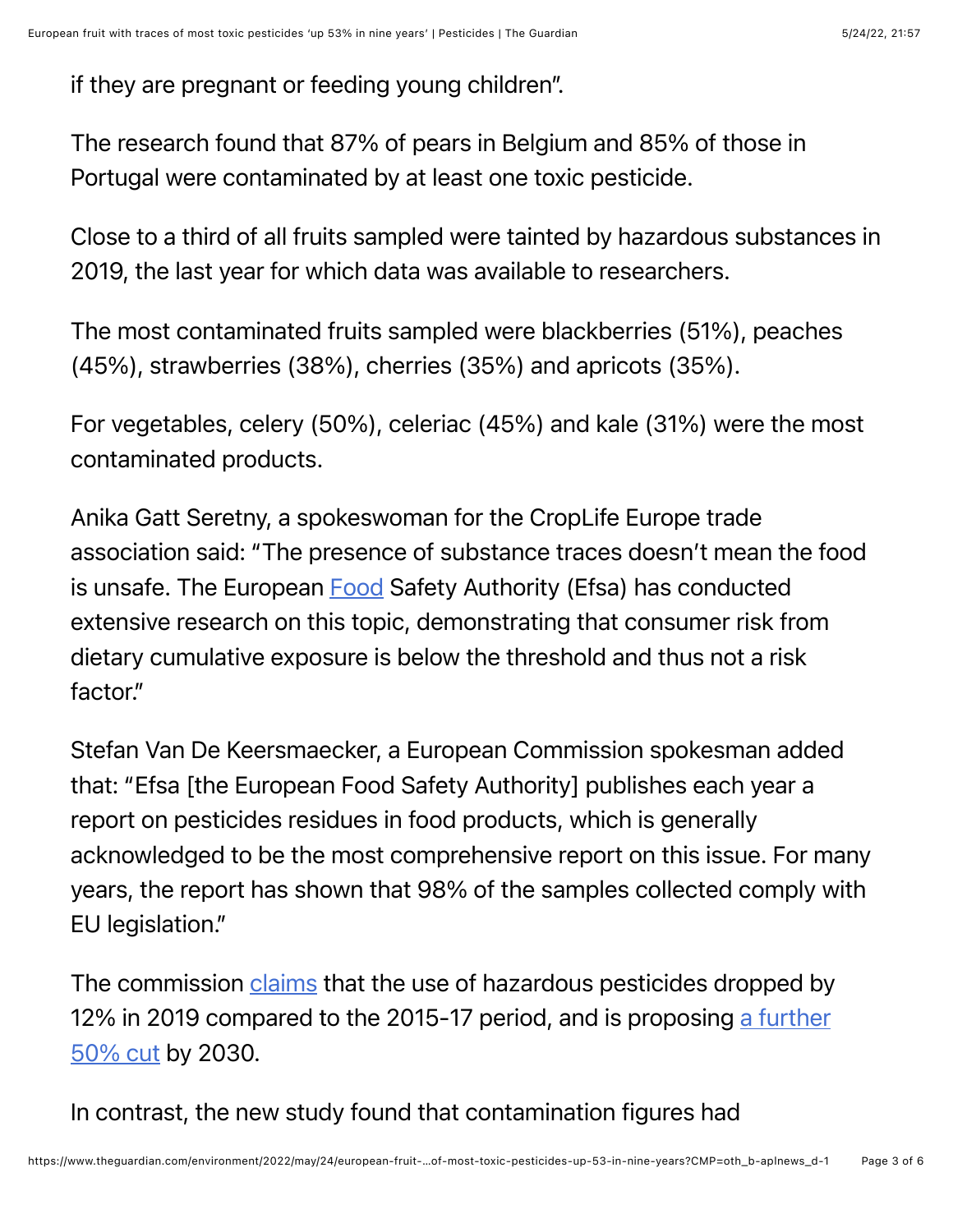if they are pregnant or feeding young children".

The research found that 87% of pears in Belgium and 85% of those in Portugal were contaminated by at least one toxic pesticide.

Close to a third of all fruits sampled were tainted by hazardous substances in 2019, the last year for which data was available to researchers.

The most contaminated fruits sampled were blackberries (51%), peaches (45%), strawberries (38%), cherries (35%) and apricots (35%).

For vegetables, celery (50%), celeriac (45%) and kale (31%) were the most contaminated products.

Anika Gatt Seretny, a spokeswoman for the CropLife Europe trade association said: "The presence of substance traces doesn't mean the food is unsafe. The European **Food Safety Authority (Efsa)** has conducted extensive research on this topic, demonstrating that consumer risk from dietary cumulative exposure is below the threshold and thus not a risk factor."

Stefan Van De Keersmaecker, a European Commission spokesman added that: "Efsa [the European Food Safety Authority] publishes each year a report on pesticides residues in food products, which is generally acknowledged to be the most comprehensive report on this issue. For many years, the report has shown that 98% of the samples collected comply with EU legislation."

The commission [claims](https://ec.europa.eu/food/plants/pesticides/sustainable-use-pesticides/farm-fork-targets-progress/eu-trends_en) that the use of hazardous pesticides dropped by [12% in 2019 compared to the 2015-17 period, and is proposing a further](https://ec.europa.eu/food/horizontal-topics/farm-fork-strategy_en) 50% cut by 2030.

In contrast, the new study found that contamination figures had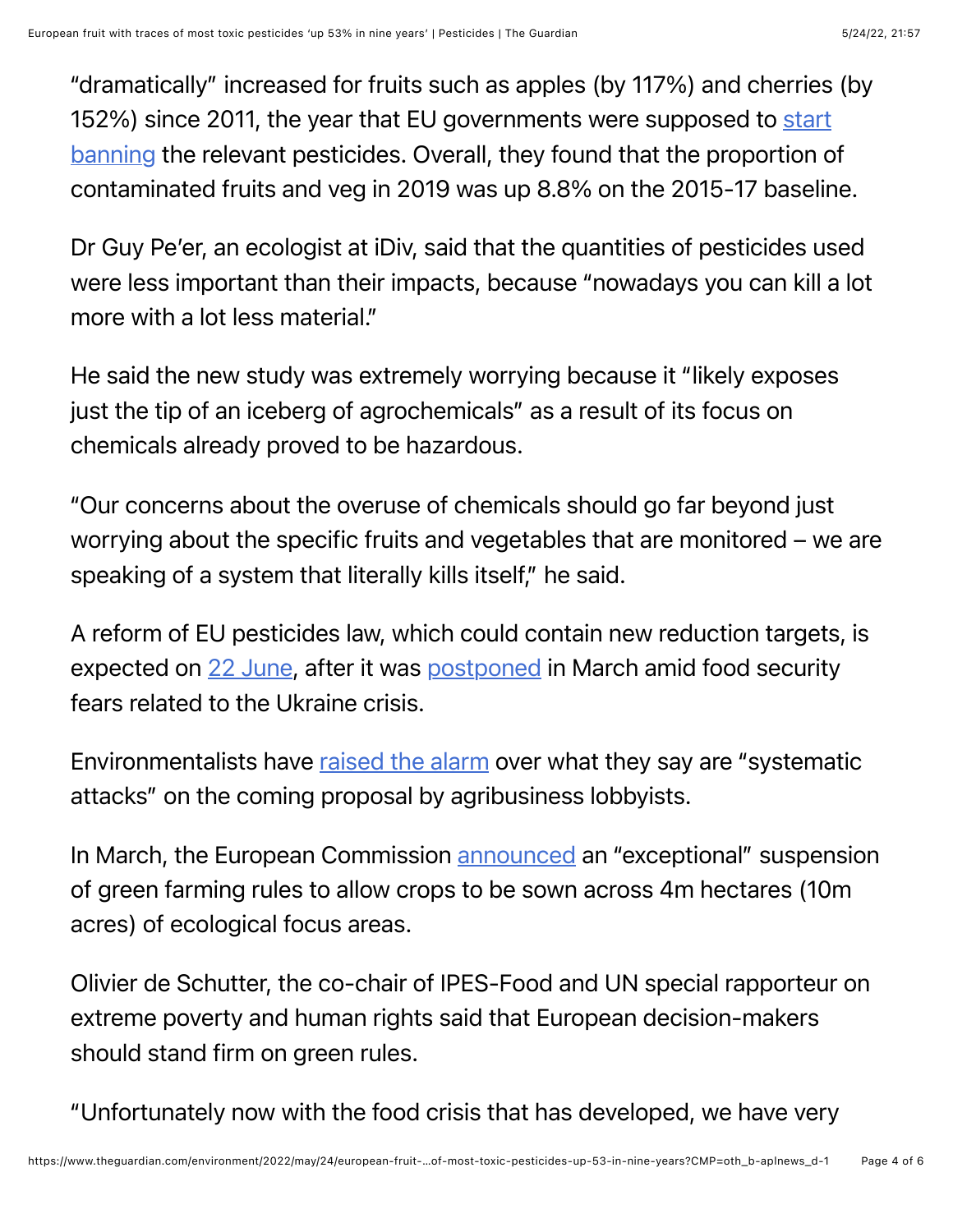"dramatically" increased for fruits such as apples (by 117%) and cherries (by [152%\) since 2011, the year that EU governments were supposed to start](https://eur-lex.europa.eu/legal-content/EN/TXT/?uri=CELEX%3A32009R1107) banning the relevant pesticides. Overall, they found that the proportion of contaminated fruits and veg in 2019 was up 8.8% on the 2015-17 baseline.

Dr Guy Pe'er, an ecologist at iDiv, said that the quantities of pesticides used were less important than their impacts, because "nowadays you can kill a lot more with a lot less material."

He said the new study was extremely worrying because it "likely exposes just the tip of an iceberg of agrochemicals" as a result of its focus on chemicals already proved to be hazardous.

"Our concerns about the overuse of chemicals should go far beyond just worrying about the specific fruits and vegetables that are monitored – we are speaking of a system that literally kills itself," he said.

A reform of EU pesticides law, which could contain new reduction targets, is expected on [22 June](https://www.euractiv.com/section/energy-environment/news/the-green-brief-its-now-or-never-for-energy-conservation/), after it was [postponed](https://www.greens-efa.eu/en/article/document/letter-on-the-sustainable-use-of-pesticides-directive-to-the-european-commission) in March amid food security fears related to the Ukraine crisis.

Environmentalists have [raised the alarm](https://www.greens-efa.eu/en/article/document/letter-on-the-sustainable-use-of-pesticides-directive-to-the-european-commission) over what they say are "systematic attacks" on the coming proposal by agribusiness lobbyists.

In March, the European Commission [announced](https://ec.europa.eu/commission/presscorner/detail/en/ip_22_1963) an "exceptional" suspension of green farming rules to allow crops to be sown across 4m hectares (10m acres) of ecological focus areas.

Olivier de Schutter, the co-chair of IPES-Food and UN special rapporteur on extreme poverty and human rights said that European decision-makers should stand firm on green rules.

"Unfortunately now with the food crisis that has developed, we have very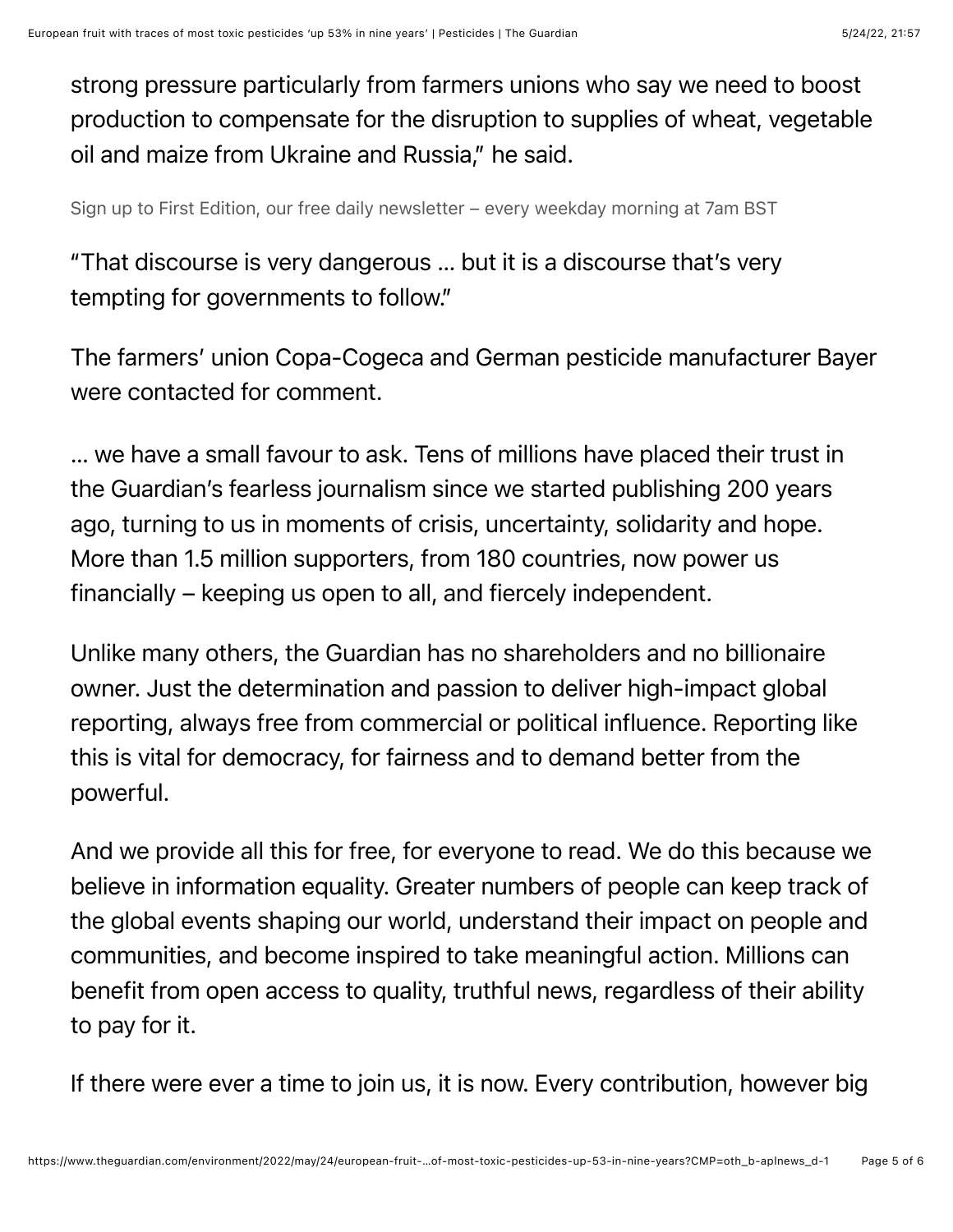strong pressure particularly from farmers unions who say we need to boost production to compensate for the disruption to supplies of wheat, vegetable oil and maize from Ukraine and Russia," he said.

Sign up to First Edition, our free daily newsletter – every weekday morning at 7am BST

"That discourse is very dangerous … but it is a discourse that's very tempting for governments to follow."

The farmers' union Copa-Cogeca and German pesticide manufacturer Bayer were contacted for comment.

… we have a small favour to ask. Tens of millions have placed their trust in the Guardian's fearless journalism since we started publishing 200 years ago, turning to us in moments of crisis, uncertainty, solidarity and hope. More than 1.5 million supporters, from 180 countries, now power us financially – keeping us open to all, and fiercely independent.

Unlike many others, the Guardian has no shareholders and no billionaire owner. Just the determination and passion to deliver high-impact global reporting, always free from commercial or political influence. Reporting like this is vital for democracy, for fairness and to demand better from the powerful.

And we provide all this for free, for everyone to read. We do this because we believe in information equality. Greater numbers of people can keep track of the global events shaping our world, understand their impact on people and communities, and become inspired to take meaningful action. Millions can benefit from open access to quality, truthful news, regardless of their ability to pay for it.

If there were ever a time to join us, it is now. Every contribution, however big